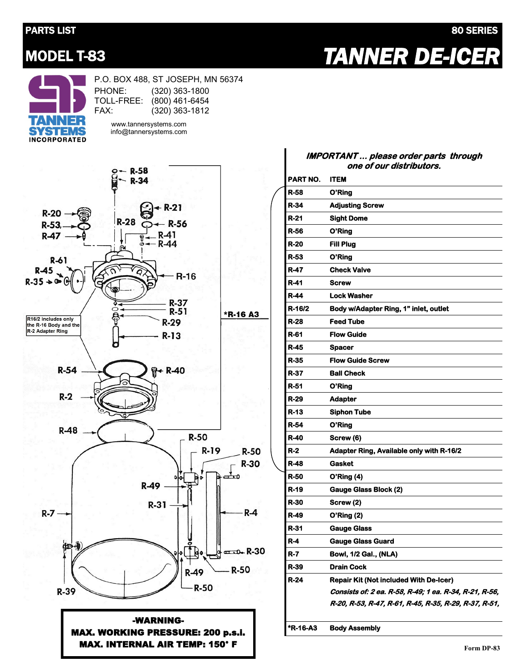## PARTS LIST 80 SERIES

MODEL T-83 *TANNER DE-ICER* 



P.O. BOX 488, ST JOSEPH, MN 56374 PHONE: TOLL-FREE: (800) 461-6454 FAX: (320) 363-1800 (320) 363-1812 www.tannersystems.com

info@tannersystems.com



-WARNING-MAX. WORKING PRESSURE: 200 p.s.i. MAX. INTERNAL AIR TEMP: 150° F

## **IMPORTANT ... please order parts through one of our distributors.**

|             | 110 VI VUI UIJU INULVI J.                              |
|-------------|--------------------------------------------------------|
| PART NO.    | <b>ITEM</b>                                            |
| R-58        | O'Ring                                                 |
| R-34        | <b>Adjusting Screw</b>                                 |
| R-21        | <b>Sight Dome</b>                                      |
| R-56        | O'Ring                                                 |
| R-20        | Fill Plug                                              |
| R-53        | O'Ring                                                 |
| <b>R-47</b> | <b>Check Valve</b>                                     |
| R-41        | <b>Screw</b>                                           |
| R-44        | Lock Washer                                            |
| R-16/2      | Body w/Adapter Ring, 1" inlet, outlet                  |
| R-28        | <b>Feed Tube</b>                                       |
| R-61        | <b>Flow Guide</b>                                      |
| R-45        | <b>Spacer</b>                                          |
| R-35        | <b>Flow Guide Screw</b>                                |
| R-37        | <b>Ball Check</b>                                      |
| R-51        | O'Ring                                                 |
| R-29        | <b>Adapter</b>                                         |
| R-13        | <b>Siphon Tube</b>                                     |
| R-54        | O'Ring                                                 |
| R-40        | Screw (6)                                              |
| R-2         | <b>Adapter Ring, Available only with R-16/2</b>        |
| R-48        | <b>Gasket</b>                                          |
| R-50        | O'Ring(4)                                              |
| R-19        | <b>Gauge Glass Block (2)</b>                           |
| R-30        | Screw (2)                                              |
| R-49        | O'Ring (2)                                             |
| R-31        | <b>Gauge Glass</b>                                     |
| R-4         | <b>Gauge Glass Guard</b>                               |
| R-7         | Bowl, 1/2 Gal., (NLA)                                  |
| R-39        | Drain Cock                                             |
| R-24        | <b>Repair Kit (Not included With De-Icer)</b>          |
|             | Consists of: 2 ea. R-58, R-49; 1 ea. R-34, R-21, R-56, |
|             | R-20, R-53, R-47, R-61, R-45, R-35, R-29, R-37, R-51,  |
| *R-16-A3    | <b>Body Assembly</b>                                   |